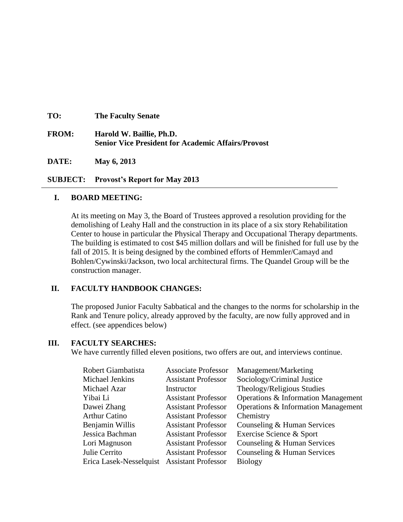| TO:          | <b>The Faculty Senate</b>                                                             |
|--------------|---------------------------------------------------------------------------------------|
| <b>FROM:</b> | Harold W. Baillie, Ph.D.<br><b>Senior Vice President for Academic Affairs/Provost</b> |
| DATE:        | May 6, 2013                                                                           |

**SUBJECT: Provost's Report for May 2013**

## **I. BOARD MEETING:**

At its meeting on May 3, the Board of Trustees approved a resolution providing for the demolishing of Leahy Hall and the construction in its place of a six story Rehabilitation Center to house in particular the Physical Therapy and Occupational Therapy departments. The building is estimated to cost \$45 million dollars and will be finished for full use by the fall of 2015. It is being designed by the combined efforts of Hemmler/Camayd and Bohlen/Cywinski/Jackson, two local architectural firms. The Quandel Group will be the construction manager.

# **II. FACULTY HANDBOOK CHANGES:**

The proposed Junior Faculty Sabbatical and the changes to the norms for scholarship in the Rank and Tenure policy, already approved by the faculty, are now fully approved and in effect. (see appendices below)

### **III. FACULTY SEARCHES:**

We have currently filled eleven positions, two offers are out, and interviews continue.

| Robert Giambatista                          | <b>Associate Professor</b> | Management/Marketing                |
|---------------------------------------------|----------------------------|-------------------------------------|
| Michael Jenkins                             | <b>Assistant Professor</b> | Sociology/Criminal Justice          |
| Michael Azar                                | Instructor                 | Theology/Religious Studies          |
| Yibai Li                                    | <b>Assistant Professor</b> | Operations & Information Management |
| Dawei Zhang                                 | <b>Assistant Professor</b> | Operations & Information Management |
| <b>Arthur Catino</b>                        | <b>Assistant Professor</b> | Chemistry                           |
| Benjamin Willis                             | <b>Assistant Professor</b> | Counseling & Human Services         |
| Jessica Bachman                             | <b>Assistant Professor</b> | Exercise Science & Sport            |
| Lori Magnuson                               | <b>Assistant Professor</b> | Counseling & Human Services         |
| Julie Cerrito                               | <b>Assistant Professor</b> | Counseling & Human Services         |
| Erica Lasek-Nesselquist Assistant Professor |                            | <b>Biology</b>                      |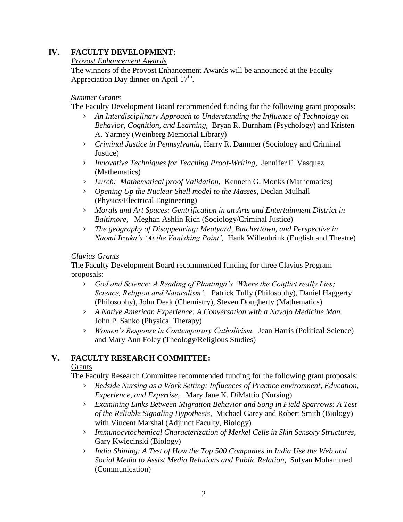# **IV. FACULTY DEVELOPMENT:**

## *Provost Enhancement Awards*

The winners of the Provost Enhancement Awards will be announced at the Faculty Appreciation Day dinner on April  $17<sup>th</sup>$ .

## *Summer Grants*

The Faculty Development Board recommended funding for the following grant proposals:

- › *An Interdisciplinary Approach to Understanding the Influence of Technology on Behavior, Cognition, and Learning,* Bryan R. Burnham (Psychology) and Kristen A. Yarmey (Weinberg Memorial Library)
- › *Criminal Justice in Pennsylvania,* Harry R. Dammer (Sociology and Criminal Justice)
- › *Innovative Techniques for Teaching Proof-Writing,* Jennifer F. Vasquez (Mathematics)
- › *Lurch: Mathematical proof Validation,* Kenneth G. Monks (Mathematics)
- › *Opening Up the Nuclear Shell model to the Masses,* Declan Mulhall (Physics/Electrical Engineering)
- › *Morals and Art Spaces: Gentrification in an Arts and Entertainment District in Baltimore*, Meghan Ashlin Rich (Sociology/Criminal Justice)
- › *The geography of Disappearing: Meatyard, Butchertown, and Perspective in Naomi Iizuka's 'At the Vanishing Point',* Hank Willenbrink (English and Theatre)

## *Clavius Grants*

The Faculty Development Board recommended funding for three Clavius Program proposals:

- › *God and Science: A Reading of Plantinga's 'Where the Conflict really Lies; Science, Religion and Naturalism'.* Patrick Tully (Philosophy), Daniel Haggerty (Philosophy), John Deak (Chemistry), Steven Dougherty (Mathematics)
- › *A Native American Experience: A Conversation with a Navajo Medicine Man.*  John P. Sanko (Physical Therapy)
- › *Women's Response in Contemporary Catholicism.* Jean Harris (Political Science) and Mary Ann Foley (Theology/Religious Studies)

# **V. FACULTY RESEARCH COMMITTEE:**

# **Grants**

The Faculty Research Committee recommended funding for the following grant proposals:

- › *Bedside Nursing as a Work Setting: Influences of Practice environment, Education, Experience, and Expertise,* Mary Jane K. DiMattio (Nursing)
- › *Examining Links Between Migration Behavior and Song in Field Sparrows: A Test of the Reliable Signaling Hypothesis,* Michael Carey and Robert Smith (Biology) with Vincent Marshal (Adjunct Faculty, Biology)
- › *Immunocytochemical Characterization of Merkel Cells in Skin Sensory Structures,* Gary Kwiecinski (Biology)
- › *India Shining: A Test of How the Top 500 Companies in India Use the Web and Social Media to Assist Media Relations and Public Relation,* Sufyan Mohammed (Communication)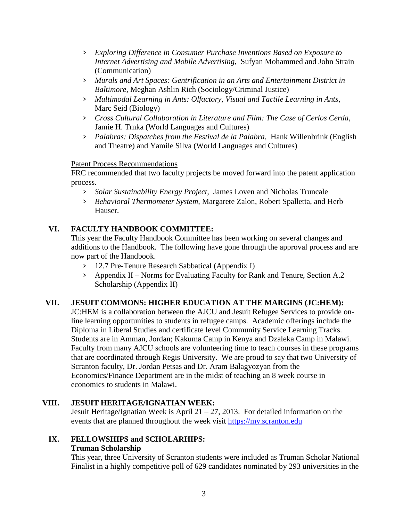- › *Exploring Difference in Consumer Purchase Inventions Based on Exposure to Internet Advertising and Mobile Advertising,* Sufyan Mohammed and John Strain (Communication)
- › *Murals and Art Spaces: Gentrification in an Arts and Entertainment District in Baltimore,* Meghan Ashlin Rich (Sociology/Criminal Justice)
- › *Multimodal Learning in Ants: Olfactory, Visual and Tactile Learning in Ants,* Marc Seid (Biology)
- › *Cross Cultural Collaboration in Literature and Film: The Case of Cerlos Cerda,* Jamie H. Trnka (World Languages and Cultures)
- › *Palabras: Dispatches from the Festival de la Palabra,* Hank Willenbrink (English and Theatre) and Yamile Silva (World Languages and Cultures)

## Patent Process Recommendations

FRC recommended that two faculty projects be moved forward into the patent application process.

- › *Solar Sustainability Energy Project,* James Loven and Nicholas Truncale
- › *Behavioral Thermometer System,* Margarete Zalon, Robert Spalletta, and Herb Hauser.

# **VI. FACULTY HANDBOOK COMMITTEE:**

This year the Faculty Handbook Committee has been working on several changes and additions to the Handbook. The following have gone through the approval process and are now part of the Handbook.

- › 12.7 Pre-Tenure Research Sabbatical (Appendix I)
- › Appendix II Norms for Evaluating Faculty for Rank and Tenure, Section A.2 Scholarship (Appendix II)

# **VII. JESUIT COMMONS: HIGHER EDUCATION AT THE MARGINS (JC:HEM):**

JC:HEM is a collaboration between the AJCU and Jesuit Refugee Services to provide online learning opportunities to students in refugee camps. Academic offerings include the Diploma in Liberal Studies and certificate level Community Service Learning Tracks. Students are in Amman, Jordan; Kakuma Camp in Kenya and Dzaleka Camp in Malawi. Faculty from many AJCU schools are volunteering time to teach courses in these programs that are coordinated through Regis University. We are proud to say that two University of Scranton faculty, Dr. Jordan Petsas and Dr. Aram Balagyozyan from the Economics/Finance Department are in the midst of teaching an 8 week course in economics to students in Malawi.

# **VIII. JESUIT HERITAGE/IGNATIAN WEEK:**

Jesuit Heritage/Ignatian Week is April  $21 - 27$ , 2013. For detailed information on the events that are planned throughout the week visit [https://my.scranton.edu](https://my.scranton.edu/)

# **IX. FELLOWSHIPS and SCHOLARHIPS:**

### **Truman Scholarship**

This year, three University of Scranton students were included as Truman Scholar National Finalist in a highly competitive poll of 629 candidates nominated by 293 universities in the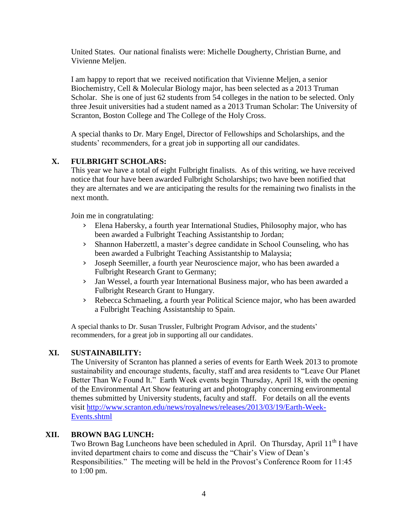United States. Our national finalists were: Michelle Dougherty, Christian Burne, and Vivienne Melien.

I am happy to report that we received notification that Vivienne Meljen, a senior Biochemistry, Cell & Molecular Biology major, has been selected as a 2013 Truman Scholar. She is one of just 62 students from 54 colleges in the nation to be selected. Only three Jesuit universities had a student named as a 2013 Truman Scholar: The University of Scranton, Boston College and The College of the Holy Cross.

A special thanks to Dr. Mary Engel, Director of Fellowships and Scholarships, and the students' recommenders, for a great job in supporting all our candidates.

# **X. FULBRIGHT SCHOLARS:**

This year we have a total of eight Fulbright finalists. As of this writing, we have received notice that four have been awarded Fulbright Scholarships; two have been notified that they are alternates and we are anticipating the results for the remaining two finalists in the next month.

Join me in congratulating:

- › Elena Habersky, a fourth year International Studies, Philosophy major, who has been awarded a Fulbright Teaching Assistantship to Jordan;
- › Shannon Haberzettl, a master's degree candidate in School Counseling, who has been awarded a Fulbright Teaching Assistantship to Malaysia;
- › Joseph Seemiller, a fourth year Neuroscience major, who has been awarded a Fulbright Research Grant to Germany;
- › Jan Wessel, a fourth year International Business major, who has been awarded a Fulbright Research Grant to Hungary.
- › Rebecca Schmaeling, a fourth year Political Science major, who has been awarded a Fulbright Teaching Assistantship to Spain.

A special thanks to Dr. Susan Trussler, Fulbright Program Advisor, and the students' recommenders, for a great job in supporting all our candidates.

# **XI. SUSTAINABILITY:**

The University of Scranton has planned a series of events for Earth Week 2013 to promote sustainability and encourage students, faculty, staff and area residents to "Leave Our Planet Better Than We Found It." Earth Week events begin Thursday, April 18, with the opening of the Environmental Art Show featuring art and photography concerning environmental themes submitted by University students, faculty and staff. For details on all the events visit [http://www.scranton.edu/news/royalnews/releases/2013/03/19/Earth-Week-](http://www.scranton.edu/news/royalnews/releases/2013/03/19/Earth-Week-Events.shtml)[Events.shtml](http://www.scranton.edu/news/royalnews/releases/2013/03/19/Earth-Week-Events.shtml)

## **XII. BROWN BAG LUNCH:**

Two Brown Bag Luncheons have been scheduled in April. On Thursday, April 11<sup>th</sup> I have invited department chairs to come and discuss the "Chair's View of Dean's Responsibilities." The meeting will be held in the Provost's Conference Room for 11:45 to 1:00 pm.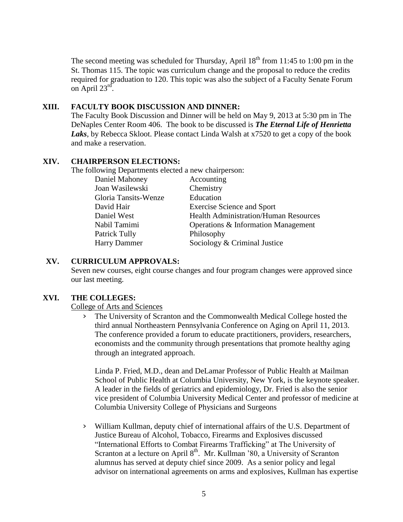The second meeting was scheduled for Thursday, April  $18<sup>th</sup>$  from 11:45 to 1:00 pm in the St. Thomas 115. The topic was curriculum change and the proposal to reduce the credits required for graduation to 120. This topic was also the subject of a Faculty Senate Forum on April  $23^{\text{rd}}$ .

#### **XIII. FACULTY BOOK DISCUSSION AND DINNER:**

The Faculty Book Discussion and Dinner will be held on May 9, 2013 at 5:30 pm in The DeNaples Center Room 406. The book to be discussed is *The Eternal Life of Henrietta Laks*, by Rebecca Skloot. Please contact Linda Walsh at x7520 to get a copy of the book and make a reservation.

# **XIV. CHAIRPERSON ELECTIONS:**

The following Departments elected a new chairperson:

| Daniel Mahoney       | Accounting                                   |
|----------------------|----------------------------------------------|
| Joan Wasilewski      | Chemistry                                    |
| Gloria Tansits-Wenze | Education                                    |
| David Hair           | <b>Exercise Science and Sport</b>            |
| Daniel West          | <b>Health Administration/Human Resources</b> |
| Nabil Tamimi         | Operations & Information Management          |
| Patrick Tully        | Philosophy                                   |
| <b>Harry Dammer</b>  | Sociology & Criminal Justice                 |

## **XV. CURRICULUM APPROVALS:**

Seven new courses, eight course changes and four program changes were approved since our last meeting.

### **XVI. THE COLLEGES:**

College of Arts and Sciences

› The University of Scranton and the Commonwealth Medical College hosted the third annual Northeastern Pennsylvania Conference on Aging on April 11, 2013. The conference provided a forum to educate practitioners, providers, researchers, economists and the community through presentations that promote healthy aging through an integrated approach.

Linda P. Fried, M.D., dean and DeLamar Professor of Public Health at Mailman School of Public Health at Columbia University, New York, is the keynote speaker. A leader in the fields of geriatrics and epidemiology, Dr. Fried is also the senior vice president of Columbia University Medical Center and professor of medicine at Columbia University College of Physicians and Surgeons

› William Kullman, deputy chief of international affairs of the U.S. Department of Justice Bureau of Alcohol, Tobacco, Firearms and Explosives discussed "International Efforts to Combat Firearms Trafficking" at The University of Scranton at a lecture on April  $8<sup>th</sup>$ . Mr. Kullman '80, a University of Scranton alumnus has served at deputy chief since 2009. As a senior policy and legal advisor on international agreements on arms and explosives, Kullman has expertise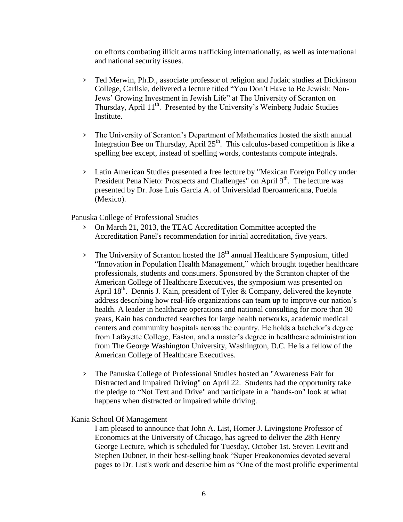on efforts combating illicit arms trafficking internationally, as well as international and national security issues.

- › Ted Merwin, Ph.D., associate professor of religion and Judaic studies at Dickinson College, Carlisle, delivered a lecture titled "You Don't Have to Be Jewish: Non-Jews' Growing Investment in Jewish Life" at The University of Scranton on Thursday, April 11<sup>th</sup>. Presented by the University's Weinberg Judaic Studies Institute.
- › The University of Scranton's Department of Mathematics hosted the sixth annual Integration Bee on Thursday, April  $25<sup>th</sup>$ . This calculus-based competition is like a spelling bee except, instead of spelling words, contestants compute integrals.
- › Latin American Studies presented a free lecture by "Mexican Foreign Policy under President Pena Nieto: Prospects and Challenges" on April 9<sup>th</sup>. The lecture was presented by Dr. Jose Luis Garcia A. of Universidad Iberoamericana, Puebla (Mexico).

Panuska College of Professional Studies

- › On March 21, 2013, the TEAC Accreditation Committee accepted the Accreditation Panel's recommendation for initial accreditation, five years.
- $\frac{1}{2}$  The University of Scranton hosted the 18<sup>th</sup> annual Healthcare Symposium, titled "Innovation in Population Health Management," which brought together healthcare professionals, students and consumers. Sponsored by the Scranton chapter of the American College of Healthcare Executives, the symposium was presented on April  $18<sup>th</sup>$ . Dennis J. Kain, president of Tyler & Company, delivered the keynote address describing how real-life organizations can team up to improve our nation's health. A leader in healthcare operations and national consulting for more than 30 years, Kain has conducted searches for large health networks, academic medical centers and community hospitals across the country. He holds a bachelor's degree from Lafayette College, Easton, and a master's degree in healthcare administration from The George Washington University, Washington, D.C. He is a fellow of the American College of Healthcare Executives.
- › The Panuska College of Professional Studies hosted an "Awareness Fair for Distracted and Impaired Driving" on April 22. Students had the opportunity take the pledge to "Not Text and Drive" and participate in a "hands-on" look at what happens when distracted or impaired while driving.

Kania School Of Management

I am pleased to announce that John A. List, Homer J. Livingstone Professor of Economics at the University of Chicago, has agreed to deliver the 28th Henry George Lecture, which is scheduled for Tuesday, October 1st. Steven Levitt and Stephen Dubner, in their best-selling book "Super Freakonomics devoted several pages to Dr. List's work and describe him as "One of the most prolific experimental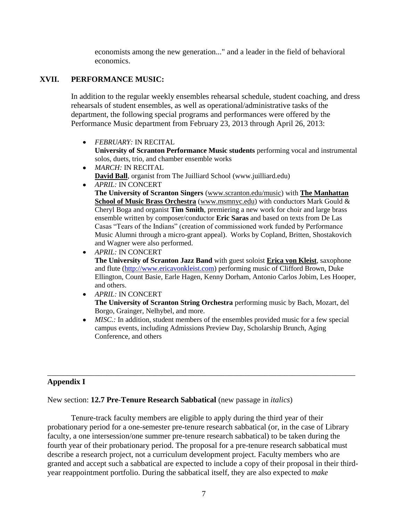economists among the new generation..." and a leader in the field of behavioral economics.

## **XVII. PERFORMANCE MUSIC:**

In addition to the regular weekly ensembles rehearsal schedule, student coaching, and dress rehearsals of student ensembles, as well as operational/administrative tasks of the department, the following special programs and performances were offered by the Performance Music department from February 23, 2013 through April 26, 2013:

- *FEBRUARY:* IN RECITAL **University of Scranton Performance Music students** performing vocal and instrumental solos, duets, trio, and chamber ensemble works
- *MARCH:* IN RECITAL **[David Ball](http://juilliardinaiken.com/bios_organists.php)**, organist from The Juilliard School (www.juilliard.edu)
- *APRIL:* IN CONCERT **The University of Scranton Singers** [\(www.scranton.edu/music\)](http://www.scranton.edu/music) with **[The Manhattan](http://www.msmnyc.edu/)  [School of Music Brass Orchestra](http://www.msmnyc.edu/)** [\(www.msmnyc.edu\)](http://www.msmnyc.edu/) with conductors Mark Gould & Cheryl Boga and organist **Tim Smith**, premiering a new work for choir and large brass ensemble written by composer/conductor **Eric Saras** and based on texts from De Las Casas "Tears of the Indians" (creation of commissioned work funded by Performance Music Alumni through a micro-grant appeal). Works by Copland, Britten, Shostakovich and Wagner were also performed.
- $\bullet$ *APRIL:* IN CONCERT **The University of Scranton Jazz Band** with guest soloist **[Erica von Kleist](http://www.ericavonkleist.com/)**, saxophone and flute [\(http://www.ericavonkleist.com\)](http://www.ericavonkleist.com/) performing music of Clifford Brown, Duke Ellington, Count Basie, Earle Hagen, Kenny Dorham, Antonio Carlos Jobim, Les Hooper, and others.
- *APRIL:* IN CONCERT **The University of Scranton String Orchestra** performing music by Bach, Mozart, del Borgo, Grainger, Nelhybel, and more.
- *MISC*: In addition, student members of the ensembles provided music for a few special campus events, including Admissions Preview Day, Scholarship Brunch, Aging Conference, and others

# **Appendix I**

New section: **12.7 Pre-Tenure Research Sabbatical** (new passage in *italics*)

Tenure-track faculty members are eligible to apply during the third year of their probationary period for a one-semester pre-tenure research sabbatical (or, in the case of Library faculty, a one intersession/one summer pre-tenure research sabbatical) to be taken during the fourth year of their probationary period. The proposal for a pre-tenure research sabbatical must describe a research project, not a curriculum development project. Faculty members who are granted and accept such a sabbatical are expected to include a copy of their proposal in their thirdyear reappointment portfolio. During the sabbatical itself, they are also expected to *make* 

\_\_\_\_\_\_\_\_\_\_\_\_\_\_\_\_\_\_\_\_\_\_\_\_\_\_\_\_\_\_\_\_\_\_\_\_\_\_\_\_\_\_\_\_\_\_\_\_\_\_\_\_\_\_\_\_\_\_\_\_\_\_\_\_\_\_\_\_\_\_\_\_\_\_\_\_\_\_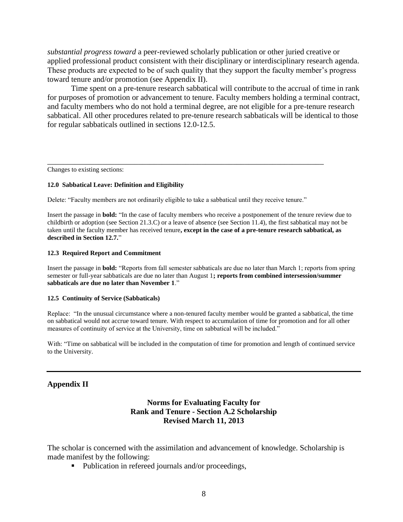*substantial progress toward* a peer-reviewed scholarly publication or other juried creative or applied professional product consistent with their disciplinary or interdisciplinary research agenda. These products are expected to be of such quality that they support the faculty member's progress toward tenure and/or promotion (see Appendix II).

Time spent on a pre-tenure research sabbatical will contribute to the accrual of time in rank for purposes of promotion or advancement to tenure. Faculty members holding a terminal contract, and faculty members who do not hold a terminal degree, are not eligible for a pre-tenure research sabbatical. All other procedures related to pre-tenure research sabbaticals will be identical to those for regular sabbaticals outlined in sections 12.0-12.5.

Changes to existing sections:

#### **12.0 Sabbatical Leave: Definition and Eligibility**

Delete: "Faculty members are not ordinarily eligible to take a sabbatical until they receive tenure."

\_\_\_\_\_\_\_\_\_\_\_\_\_\_\_\_\_\_\_\_\_\_\_\_\_\_\_\_\_\_\_\_\_\_\_\_\_\_\_\_\_\_\_\_\_\_\_\_\_\_\_\_\_\_\_\_\_\_\_\_\_\_\_\_\_\_\_\_\_\_

Insert the passage in **bold:** "In the case of faculty members who receive a postponement of the tenure review due to childbirth or adoption (see Section 21.3.C) or a leave of absence (see Section 11.4), the first sabbatical may not be taken until the faculty member has received tenure**, except in the case of a pre-tenure research sabbatical, as described in Section 12.7.**"

#### **12.3 Required Report and Commitment**

Insert the passage in **bold:** "Reports from fall semester sabbaticals are due no later than March 1; reports from spring semester or full-year sabbaticals are due no later than August 1**; reports from combined intersession/summer sabbaticals are due no later than November 1**."

#### **12.5 Continuity of Service (Sabbaticals)**

Replace: "In the unusual circumstance where a non-tenured faculty member would be granted a sabbatical, the time on sabbatical would not accrue toward tenure. With respect to accumulation of time for promotion and for all other measures of continuity of service at the University, time on sabbatical will be included."

With: "Time on sabbatical will be included in the computation of time for promotion and length of continued service to the University.

#### **Appendix II**

## **Norms for Evaluating Faculty for Rank and Tenure - Section A.2 Scholarship Revised March 11, 2013**

The scholar is concerned with the assimilation and advancement of knowledge. Scholarship is made manifest by the following:

• Publication in refereed journals and/or proceedings,